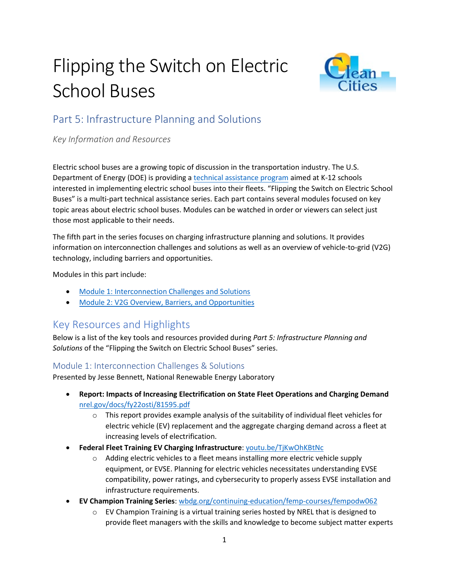# Flipping the Switch on Electric School Buses



## Part 5: Infrastructure Planning and Solutions

*Key Information and Resources*

Electric school buses are a growing topic of discussion in the transportation industry. The U.S. Department of Energy (DOE) is providing a [technical assistance program](https://afdc.energy.gov/vehicles/electric_school_buses.html) aimed at K-12 schools interested in implementing electric school buses into their fleets. "Flipping the Switch on Electric School Buses" is a multi-part technical assistance series. Each part contains several modules focused on key topic areas about electric school buses. Modules can be watched in order or viewers can select just those most applicable to their needs.

The fifth part in the series focuses on charging infrastructure planning and solutions. It provides information on interconnection challenges and solutions as well as an overview of vehicle-to-grid (V2G) technology, including barriers and opportunities.

Modules in this part include:

- [Module 1: Interconnection Challenges and Solutions](mailto:https://pfs.nrel.gov/main.html?download&weblink=5fd1f32c7223498d7dbfbbb94555e29b&realfilename=ESB$20Part$205$20Module$201.mp4)
- [Module 2: V2G Overview, Barriers, and Opportunities](mailto:https://pfs.nrel.gov/main.html?download&weblink=5fd1f32c7223498d7dbfbbb94555e29b&realfilename=ESB$20Part$205$20Module$201.mp4)

## Key Resources and Highlights

Below is a list of the key tools and resources provided during *Part 5: Infrastructure Planning and Solutions* of the "Flipping the Switch on Electric School Buses" series.

### Module 1: Interconnection Challenges & Solutions

Presented by Jesse Bennett, National Renewable Energy Laboratory

- **Report: Impacts of Increasing Electrification on State Fleet Operations and Charging Demand** [nrel.gov/docs/fy22osti/81595.pdf](https://www.nrel.gov/docs/fy22osti/81595.pdf)
	- $\circ$  This report provides example analysis of the suitability of individual fleet vehicles for electric vehicle (EV) replacement and the aggregate charging demand across a fleet at increasing levels of electrification.
- **Federal Fleet Training EV Charging Infrastructure**: [youtu.be/TjKwOhKBtNc](https://youtu.be/TjKwOhKBtNc)
	- $\circ$  Adding electric vehicles to a fleet means installing more electric vehicle supply equipment, or EVSE. Planning for electric vehicles necessitates understanding EVSE compatibility, power ratings, and cybersecurity to properly assess EVSE installation and infrastructure requirements.
- **EV Champion Training Series**: [wbdg.org/continuing-education/femp-courses/fempodw062](https://www.wbdg.org/continuing-education/femp-courses/fempodw062)
	- $\circ$  EV Champion Training is a virtual training series hosted by NREL that is designed to provide fleet managers with the skills and knowledge to become subject matter experts